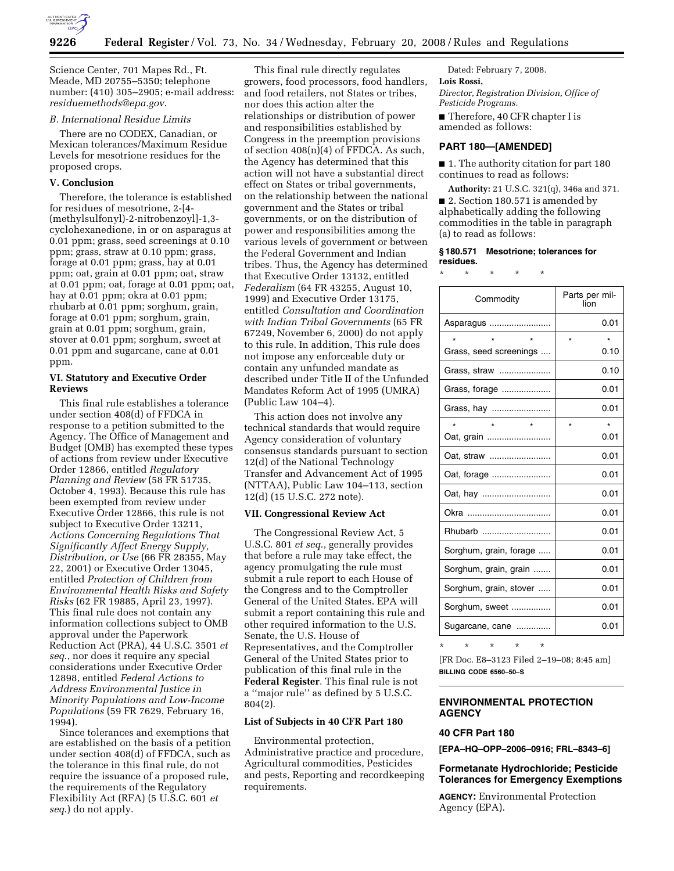

Science Center, 701 Mapes Rd., Ft. Meade, MD 20755–5350; telephone number: (410) 305–2905; e-mail address: *residuemethods@epa.gov*.

## *B. International Residue Limits*

There are no CODEX, Canadian, or Mexican tolerances/Maximum Residue Levels for mesotrione residues for the proposed crops.

## **V. Conclusion**

Therefore, the tolerance is established for residues of mesotrione, 2-[4- (methylsulfonyl)-2-nitrobenzoyl]-1,3 cyclohexanedione, in or on asparagus at 0.01 ppm; grass, seed screenings at 0.10 ppm; grass, straw at 0.10 ppm; grass, forage at 0.01 ppm; grass, hay at 0.01 ppm; oat, grain at 0.01 ppm; oat, straw at 0.01 ppm; oat, forage at 0.01 ppm; oat, hay at 0.01 ppm; okra at 0.01 ppm; rhubarb at 0.01 ppm; sorghum, grain, forage at 0.01 ppm; sorghum, grain, grain at 0.01 ppm; sorghum, grain, stover at 0.01 ppm; sorghum, sweet at 0.01 ppm and sugarcane, cane at 0.01 ppm.

### **VI. Statutory and Executive Order Reviews**

This final rule establishes a tolerance under section 408(d) of FFDCA in response to a petition submitted to the Agency. The Office of Management and Budget (OMB) has exempted these types of actions from review under Executive Order 12866, entitled *Regulatory Planning and Review* (58 FR 51735, October 4, 1993). Because this rule has been exempted from review under Executive Order 12866, this rule is not subject to Executive Order 13211, *Actions Concerning Regulations That Significantly Affect Energy Supply, Distribution, or Use* (66 FR 28355, May 22, 2001) or Executive Order 13045, entitled *Protection of Children from Environmental Health Risks and Safety Risks* (62 FR 19885, April 23, 1997). This final rule does not contain any information collections subject to OMB approval under the Paperwork Reduction Act (PRA), 44 U.S.C. 3501 *et seq*., nor does it require any special considerations under Executive Order 12898, entitled *Federal Actions to Address Environmental Justice in Minority Populations and Low-Income Populations* (59 FR 7629, February 16, 1994).

Since tolerances and exemptions that are established on the basis of a petition under section 408(d) of FFDCA, such as the tolerance in this final rule, do not require the issuance of a proposed rule, the requirements of the Regulatory Flexibility Act (RFA) (5 U.S.C. 601 *et seq*.) do not apply.

This final rule directly regulates growers, food processors, food handlers, and food retailers, not States or tribes, nor does this action alter the relationships or distribution of power and responsibilities established by Congress in the preemption provisions of section 408(n)(4) of FFDCA. As such, the Agency has determined that this action will not have a substantial direct effect on States or tribal governments, on the relationship between the national government and the States or tribal governments, or on the distribution of power and responsibilities among the various levels of government or between the Federal Government and Indian tribes. Thus, the Agency has determined that Executive Order 13132, entitled *Federalism* (64 FR 43255, August 10, 1999) and Executive Order 13175, entitled *Consultation and Coordination with Indian Tribal Governments* (65 FR 67249, November 6, 2000) do not apply to this rule. In addition, This rule does not impose any enforceable duty or contain any unfunded mandate as described under Title II of the Unfunded Mandates Reform Act of 1995 (UMRA) (Public Law 104–4).

This action does not involve any technical standards that would require Agency consideration of voluntary consensus standards pursuant to section 12(d) of the National Technology Transfer and Advancement Act of 1995 (NTTAA), Public Law 104–113, section 12(d) (15 U.S.C. 272 note).

## **VII. Congressional Review Act**

The Congressional Review Act, 5 U.S.C. 801 *et seq*., generally provides that before a rule may take effect, the agency promulgating the rule must submit a rule report to each House of the Congress and to the Comptroller General of the United States. EPA will submit a report containing this rule and other required information to the U.S. Senate, the U.S. House of Representatives, and the Comptroller General of the United States prior to publication of this final rule in the **Federal Register**. This final rule is not a ''major rule'' as defined by 5 U.S.C. 804(2).

#### **List of Subjects in 40 CFR Part 180**

Environmental protection, Administrative practice and procedure, Agricultural commodities, Pesticides and pests, Reporting and recordkeeping requirements.

Dated: February 7, 2008. **Lois Rossi,**  *Director, Registration Division, Office of* 

*Pesticide Programs.* 

■ Therefore, 40 CFR chapter I is amended as follows:

### **PART 180—[AMENDED]**

■ 1. The authority citation for part 180 continues to read as follows:

**Authority:** 21 U.S.C. 321(q), 346a and 371. ■ 2. Section 180.571 is amended by alphabetically adding the following commodities in the table in paragraph (a) to read as follows:

### **§ 180.571 Mesotrione; tolerances for residues.**

\* \* \* \* \*

| Commodity              | Parts per mil-<br>lion |  |
|------------------------|------------------------|--|
| Asparagus              | 0.01                   |  |
| $\star$                | $\star$                |  |
| Grass, seed screenings | 0.10                   |  |
| Grass, straw           | 0.10                   |  |
| Grass, forage          | 0.01                   |  |
| Grass, hay             | 0.01                   |  |
| $\star$<br>$\star$     | $\star$<br>$\star$     |  |
| Oat, grain             | 0.01                   |  |
| Oat, straw             | 0.01                   |  |
| Oat, forage            | 0.01                   |  |
|                        | 0.01                   |  |
| Okra                   | 0.01                   |  |
| Rhubarb                | 0.01                   |  |
| Sorghum, grain, forage | 0.01                   |  |
| Sorghum, grain, grain  | 0.01                   |  |
| Sorghum, grain, stover | 0.01                   |  |
| Sorghum, sweet         | 0.01                   |  |
| Sugarcane, cane        | 0.01                   |  |

\* \* \* \* \*

[FR Doc. E8–3123 Filed 2–19–08; 8:45 am] **BILLING CODE 6560–50–S** 

## **ENVIRONMENTAL PROTECTION AGENCY**

### **40 CFR Part 180**

**[EPA–HQ–OPP–2006–0916; FRL–8343–6]** 

## **Formetanate Hydrochloride; Pesticide Tolerances for Emergency Exemptions**

**AGENCY:** Environmental Protection Agency (EPA).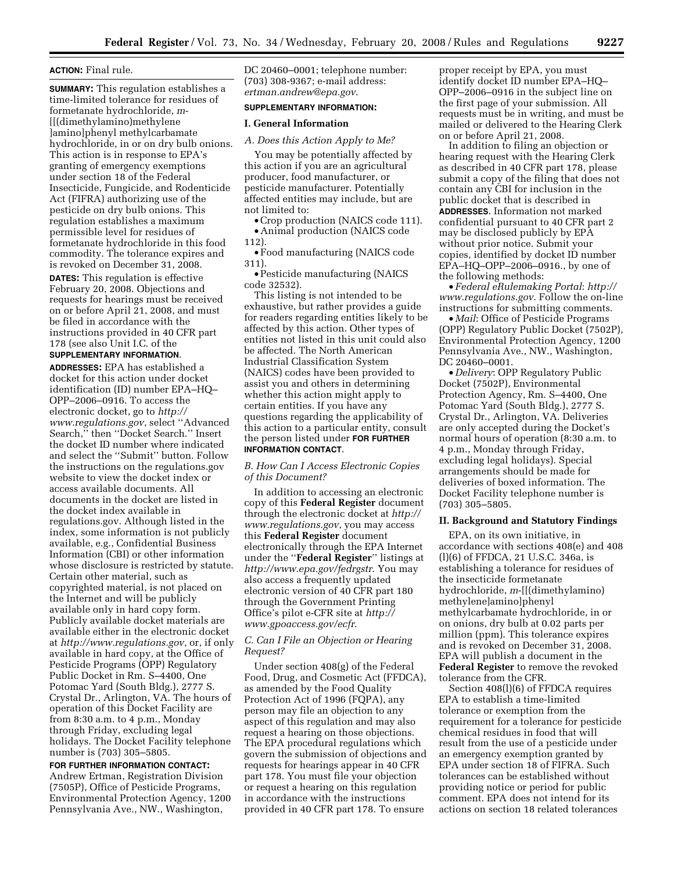# **ACTION:** Final rule.

**SUMMARY:** This regulation establishes a time-limited tolerance for residues of formetanate hydrochloride, *m*- [[(dimethylamino)methylene ]amino]phenyl methylcarbamate hydrochloride, in or on dry bulb onions. This action is in response to EPA's granting of emergency exemptions under section 18 of the Federal Insecticide, Fungicide, and Rodenticide Act (FIFRA) authorizing use of the pesticide on dry bulb onions. This regulation establishes a maximum permissible level for residues of formetanate hydrochloride in this food commodity. The tolerance expires and is revoked on December 31, 2008.

**DATES:** This regulation is effective February 20, 2008. Objections and requests for hearings must be received on or before April 21, 2008, and must be filed in accordance with the instructions provided in 40 CFR part 178 (see also Unit I.C. of the

# **SUPPLEMENTARY INFORMATION**.

**ADDRESSES:** EPA has established a docket for this action under docket identification (ID) number EPA–HQ– OPP–2006–0916. To access the electronic docket, go to *http:// www.regulations.gov*, select ''Advanced Search,'' then ''Docket Search.'' Insert the docket ID number where indicated and select the ''Submit'' button. Follow the instructions on the regulations.gov website to view the docket index or access available documents. All documents in the docket are listed in the docket index available in regulations.gov. Although listed in the index, some information is not publicly available, e.g., Confidential Business Information (CBI) or other information whose disclosure is restricted by statute. Certain other material, such as copyrighted material, is not placed on the Internet and will be publicly available only in hard copy form. Publicly available docket materials are available either in the electronic docket at *http://www.regulations.gov*, or, if only available in hard copy, at the Office of Pesticide Programs (OPP) Regulatory Public Docket in Rm. S–4400, One Potomac Yard (South Bldg.), 2777 S. Crystal Dr., Arlington, VA. The hours of operation of this Docket Facility are from 8:30 a.m. to 4 p.m., Monday through Friday, excluding legal holidays. The Docket Facility telephone number is (703) 305–5805.

## **FOR FURTHER INFORMATION CONTACT:**  Andrew Ertman, Registration Division (7505P), Office of Pesticide Programs, Environmental Protection Agency, 1200 Pennsylvania Ave., NW., Washington,

DC 20460–0001; telephone number: (703) 308-9367; e-mail address: *ertman.andrew@epa.gov*.

# **SUPPLEMENTARY INFORMATION:**

#### **I. General Information**

#### *A. Does this Action Apply to Me?*

You may be potentially affected by this action if you are an agricultural producer, food manufacturer, or pesticide manufacturer. Potentially affected entities may include, but are not limited to:

•Crop production (NAICS code 111). • Animal production (NAICS code

112).

• Food manufacturing (NAICS code 311).

• Pesticide manufacturing (NAICS code 32532).

This listing is not intended to be exhaustive, but rather provides a guide for readers regarding entities likely to be affected by this action. Other types of entities not listed in this unit could also be affected. The North American Industrial Classification System (NAICS) codes have been provided to assist you and others in determining whether this action might apply to certain entities. If you have any questions regarding the applicability of this action to a particular entity, consult the person listed under **FOR FURTHER INFORMATION CONTACT**.

## *B. How Can I Access Electronic Copies of this Document?*

In addition to accessing an electronic copy of this **Federal Register** document through the electronic docket at *http:// www.regulations.gov*, you may access this **Federal Register** document electronically through the EPA Internet under the ''**Federal Register**'' listings at *http://www.epa.gov/fedrgstr*. You may also access a frequently updated electronic version of 40 CFR part 180 through the Government Printing Office's pilot e-CFR site at *http:// www.gpoaccess.gov/ecfr*.

### *C. Can I File an Objection or Hearing Request?*

Under section 408(g) of the Federal Food, Drug, and Cosmetic Act (FFDCA), as amended by the Food Quality Protection Act of 1996 (FQPA), any person may file an objection to any aspect of this regulation and may also request a hearing on those objections. The EPA procedural regulations which govern the submission of objections and requests for hearings appear in 40 CFR part 178. You must file your objection or request a hearing on this regulation in accordance with the instructions provided in 40 CFR part 178. To ensure

proper receipt by EPA, you must identify docket ID number EPA–HQ– OPP–2006–0916 in the subject line on the first page of your submission. All requests must be in writing, and must be mailed or delivered to the Hearing Clerk on or before April 21, 2008.

In addition to filing an objection or hearing request with the Hearing Clerk as described in 40 CFR part 178, please submit a copy of the filing that does not contain any CBI for inclusion in the public docket that is described in **ADDRESSES**. Information not marked confidential pursuant to 40 CFR part 2 may be disclosed publicly by EPA without prior notice. Submit your copies, identified by docket ID number EPA–HQ–OPP–2006–0916., by one of the following methods:

• *Federal eRulemaking Portal*: *http:// www.regulations.gov*. Follow the on-line instructions for submitting comments.

• *Mail*: Office of Pesticide Programs (OPP) Regulatory Public Docket (7502P), Environmental Protection Agency, 1200 Pennsylvania Ave., NW., Washington, DC 20460–0001.

• *Delivery*: OPP Regulatory Public Docket (7502P), Environmental Protection Agency, Rm. S–4400, One Potomac Yard (South Bldg.), 2777 S. Crystal Dr., Arlington, VA. Deliveries are only accepted during the Docket's normal hours of operation (8:30 a.m. to 4 p.m., Monday through Friday, excluding legal holidays). Special arrangements should be made for deliveries of boxed information. The Docket Facility telephone number is (703) 305–5805.

## **II. Background and Statutory Findings**

EPA, on its own initiative, in accordance with sections 408(e) and 408 (l)(6) of FFDCA, 21 U.S.C. 346a, is establishing a tolerance for residues of the insecticide formetanate hydrochloride, *m*-[[(dimethylamino) methylene]amino]phenyl methylcarbamate hydrochloride, in or on onions, dry bulb at 0.02 parts per million (ppm). This tolerance expires and is revoked on December 31, 2008. EPA will publish a document in the **Federal Register** to remove the revoked tolerance from the CFR.

Section 408(l)(6) of FFDCA requires EPA to establish a time-limited tolerance or exemption from the requirement for a tolerance for pesticide chemical residues in food that will result from the use of a pesticide under an emergency exemption granted by EPA under section 18 of FIFRA. Such tolerances can be established without providing notice or period for public comment. EPA does not intend for its actions on section 18 related tolerances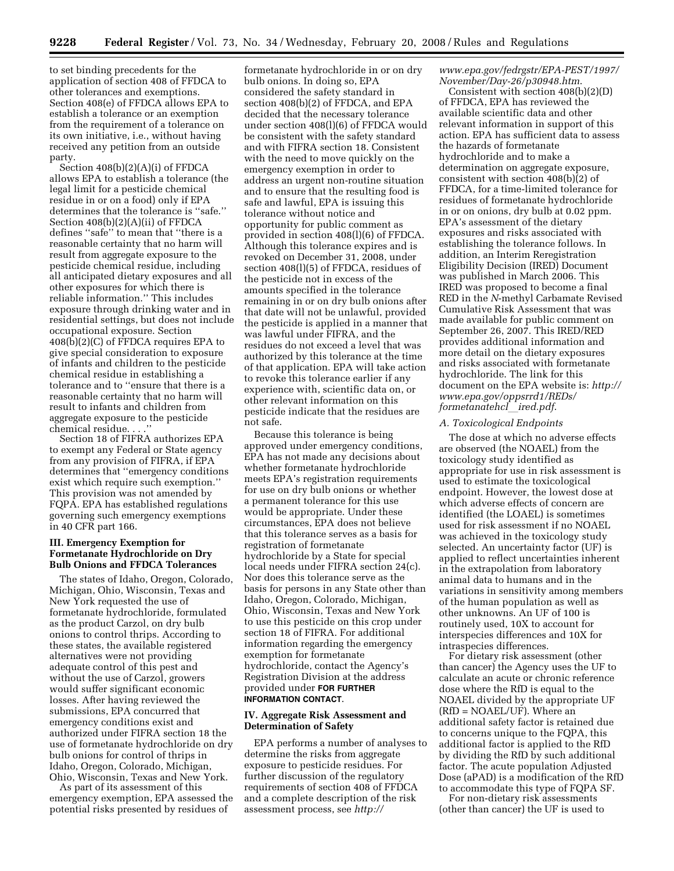to set binding precedents for the application of section 408 of FFDCA to other tolerances and exemptions. Section 408(e) of FFDCA allows EPA to establish a tolerance or an exemption from the requirement of a tolerance on its own initiative, i.e., without having received any petition from an outside party.

Section 408(b)(2)(A)(i) of FFDCA allows EPA to establish a tolerance (the legal limit for a pesticide chemical residue in or on a food) only if EPA determines that the tolerance is ''safe.'' Section 408(b)(2)(A)(ii) of FFDCA defines ''safe'' to mean that ''there is a reasonable certainty that no harm will result from aggregate exposure to the pesticide chemical residue, including all anticipated dietary exposures and all other exposures for which there is reliable information.'' This includes exposure through drinking water and in residential settings, but does not include occupational exposure. Section 408(b)(2)(C) of FFDCA requires EPA to give special consideration to exposure of infants and children to the pesticide chemical residue in establishing a tolerance and to ''ensure that there is a reasonable certainty that no harm will result to infants and children from aggregate exposure to the pesticide chemical residue. . . .

Section 18 of FIFRA authorizes EPA to exempt any Federal or State agency from any provision of FIFRA, if EPA determines that ''emergency conditions exist which require such exemption.'' This provision was not amended by FQPA. EPA has established regulations governing such emergency exemptions in 40 CFR part 166.

## **III. Emergency Exemption for Formetanate Hydrochloride on Dry Bulb Onions and FFDCA Tolerances**

The states of Idaho, Oregon, Colorado, Michigan, Ohio, Wisconsin, Texas and New York requested the use of formetanate hydrochloride, formulated as the product Carzol, on dry bulb onions to control thrips. According to these states, the available registered alternatives were not providing adequate control of this pest and without the use of Carzol, growers would suffer significant economic losses. After having reviewed the submissions, EPA concurred that emergency conditions exist and authorized under FIFRA section 18 the use of formetanate hydrochloride on dry bulb onions for control of thrips in Idaho, Oregon, Colorado, Michigan, Ohio, Wisconsin, Texas and New York.

As part of its assessment of this emergency exemption, EPA assessed the potential risks presented by residues of

formetanate hydrochloride in or on dry bulb onions. In doing so, EPA considered the safety standard in section 408(b)(2) of FFDCA, and EPA decided that the necessary tolerance under section 408(l)(6) of FFDCA would be consistent with the safety standard and with FIFRA section 18. Consistent with the need to move quickly on the emergency exemption in order to address an urgent non-routine situation and to ensure that the resulting food is safe and lawful, EPA is issuing this tolerance without notice and opportunity for public comment as provided in section 408(l)(6) of FFDCA. Although this tolerance expires and is revoked on December 31, 2008, under section 408(l)(5) of FFDCA, residues of the pesticide not in excess of the amounts specified in the tolerance remaining in or on dry bulb onions after that date will not be unlawful, provided the pesticide is applied in a manner that was lawful under FIFRA, and the residues do not exceed a level that was authorized by this tolerance at the time of that application. EPA will take action to revoke this tolerance earlier if any experience with, scientific data on, or other relevant information on this pesticide indicate that the residues are not safe.

Because this tolerance is being approved under emergency conditions, EPA has not made any decisions about whether formetanate hydrochloride meets EPA's registration requirements for use on dry bulb onions or whether a permanent tolerance for this use would be appropriate. Under these circumstances, EPA does not believe that this tolerance serves as a basis for registration of formetanate hydrochloride by a State for special local needs under FIFRA section 24(c). Nor does this tolerance serve as the basis for persons in any State other than Idaho, Oregon, Colorado, Michigan, Ohio, Wisconsin, Texas and New York to use this pesticide on this crop under section 18 of FIFRA. For additional information regarding the emergency exemption for formetanate hydrochloride, contact the Agency's Registration Division at the address provided under **FOR FURTHER INFORMATION CONTACT**.

## **IV. Aggregate Risk Assessment and Determination of Safety**

EPA performs a number of analyses to determine the risks from aggregate exposure to pesticide residues. For further discussion of the regulatory requirements of section 408 of FFDCA and a complete description of the risk assessment process, see *http://* 

## *www.epa.gov/fedrgstr/EPA-PEST/1997/ November/Day-26/p30948.htm*.

Consistent with section 408(b)(2)(D) of FFDCA, EPA has reviewed the available scientific data and other relevant information in support of this action. EPA has sufficient data to assess the hazards of formetanate hydrochloride and to make a determination on aggregate exposure, consistent with section 408(b)(2) of FFDCA, for a time-limited tolerance for residues of formetanate hydrochloride in or on onions, dry bulb at 0.02 ppm. EPA's assessment of the dietary exposures and risks associated with establishing the tolerance follows. In addition, an Interim Reregistration Eligibility Decision (IRED) Document was published in March 2006. This IRED was proposed to become a final RED in the *N*-methyl Carbamate Revised Cumulative Risk Assessment that was made available for public comment on September 26, 2007. This IRED/RED provides additional information and more detail on the dietary exposures and risks associated with formetanate hydrochloride. The link for this document on the EPA website is: *http:// www.epa.gov/oppsrrd1/REDs/ formetanatehcl*l*ired.pdf*.

### *A. Toxicological Endpoints*

The dose at which no adverse effects are observed (the NOAEL) from the toxicology study identified as appropriate for use in risk assessment is used to estimate the toxicological endpoint. However, the lowest dose at which adverse effects of concern are identified (the LOAEL) is sometimes used for risk assessment if no NOAEL was achieved in the toxicology study selected. An uncertainty factor (UF) is applied to reflect uncertainties inherent in the extrapolation from laboratory animal data to humans and in the variations in sensitivity among members of the human population as well as other unknowns. An UF of 100 is routinely used, 10X to account for interspecies differences and 10X for intraspecies differences.

For dietary risk assessment (other than cancer) the Agency uses the UF to calculate an acute or chronic reference dose where the RfD is equal to the NOAEL divided by the appropriate UF (RfD = NOAEL/UF). Where an additional safety factor is retained due to concerns unique to the FQPA, this additional factor is applied to the RfD by dividing the RfD by such additional factor. The acute population Adjusted Dose (aPAD) is a modification of the RfD to accommodate this type of FQPA SF.

For non-dietary risk assessments (other than cancer) the UF is used to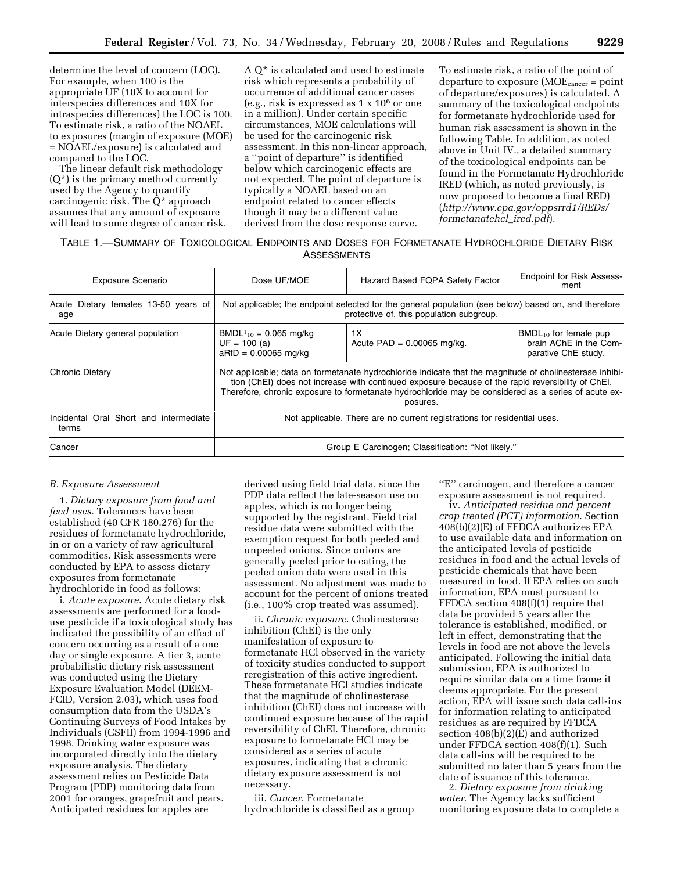determine the level of concern (LOC). For example, when 100 is the appropriate UF (10X to account for interspecies differences and 10X for intraspecies differences) the LOC is 100. To estimate risk, a ratio of the NOAEL to exposures (margin of exposure (MOE) = NOAEL/exposure) is calculated and compared to the LOC.

The linear default risk methodology  $(Q^*)$  is the primary method currently used by the Agency to quantify carcinogenic risk. The Q\* approach assumes that any amount of exposure will lead to some degree of cancer risk.

A Q\* is calculated and used to estimate risk which represents a probability of occurrence of additional cancer cases (e.g., risk is expressed as 1 x 106 or one in a million). Under certain specific circumstances, MOE calculations will be used for the carcinogenic risk assessment. In this non-linear approach, a ''point of departure'' is identified below which carcinogenic effects are not expected. The point of departure is typically a NOAEL based on an endpoint related to cancer effects though it may be a different value derived from the dose response curve.

To estimate risk, a ratio of the point of departure to exposure (MOEcancer = point of departure/exposures) is calculated. A summary of the toxicological endpoints for formetanate hydrochloride used for human risk assessment is shown in the following Table. In addition, as noted above in Unit IV., a detailed summary of the toxicological endpoints can be found in the Formetanate Hydrochloride IRED (which, as noted previously, is now proposed to become a final RED) (*http://www.epa.gov/oppsrrd1/REDs/ formetanatehcl*\_*ired.pdf*).

|                    | TABLE 1.-SUMMARY OF TOXICOLOGICAL ENDPOINTS AND DOSES FOR FORMETANATE HYDROCHLORIDE DIETARY RISK |  |
|--------------------|--------------------------------------------------------------------------------------------------|--|
| <b>ASSESSMENTS</b> |                                                                                                  |  |

| <b>Exposure Scenario</b>                        | Dose UF/MOE                                                                                                                                                                                                                                                                                                                     | Hazard Based FQPA Safety Factor    | <b>Endpoint for Risk Assess-</b><br>ment                                    |  |  |
|-------------------------------------------------|---------------------------------------------------------------------------------------------------------------------------------------------------------------------------------------------------------------------------------------------------------------------------------------------------------------------------------|------------------------------------|-----------------------------------------------------------------------------|--|--|
| Acute Dietary females 13-50 years of<br>age     | Not applicable; the endpoint selected for the general population (see below) based on, and therefore<br>protective of, this population subgroup.                                                                                                                                                                                |                                    |                                                                             |  |  |
| Acute Dietary general population                | BMDL <sup>1</sup> <sub>10</sub> = 0.065 mg/kg<br>$UF = 100$ (a)<br>$aRfD = 0.00065$ mg/kg                                                                                                                                                                                                                                       | 1X<br>Acute $PAD = 0.00065$ mg/kg. | $BMDL_{10}$ for female pup<br>brain AChE in the Com-<br>parative ChE study. |  |  |
| <b>Chronic Dietary</b>                          | Not applicable; data on formetanate hydrochloride indicate that the magnitude of cholinesterase inhibi-<br>tion (ChEI) does not increase with continued exposure because of the rapid reversibility of ChEI.<br>Therefore, chronic exposure to formetanate hydrochloride may be considered as a series of acute ex-<br>posures. |                                    |                                                                             |  |  |
| Incidental Oral Short and intermediate<br>terms | Not applicable. There are no current registrations for residential uses.                                                                                                                                                                                                                                                        |                                    |                                                                             |  |  |
| Cancer                                          | Group E Carcinogen; Classification: "Not likely."                                                                                                                                                                                                                                                                               |                                    |                                                                             |  |  |

### *B. Exposure Assessment*

1. *Dietary exposure from food and feed uses.* Tolerances have been established (40 CFR 180.276) for the residues of formetanate hydrochloride, in or on a variety of raw agricultural commodities. Risk assessments were conducted by EPA to assess dietary exposures from formetanate hydrochloride in food as follows:

i. *Acute exposure*. Acute dietary risk assessments are performed for a fooduse pesticide if a toxicological study has indicated the possibility of an effect of concern occurring as a result of a one day or single exposure. A tier 3, acute probabilistic dietary risk assessment was conducted using the Dietary Exposure Evaluation Model (DEEM-FCID, Version 2.03), which uses food consumption data from the USDA's Continuing Surveys of Food Intakes by Individuals (CSFII) from 1994-1996 and 1998. Drinking water exposure was incorporated directly into the dietary exposure analysis. The dietary assessment relies on Pesticide Data Program (PDP) monitoring data from 2001 for oranges, grapefruit and pears. Anticipated residues for apples are

derived using field trial data, since the PDP data reflect the late-season use on apples, which is no longer being supported by the registrant. Field trial residue data were submitted with the exemption request for both peeled and unpeeled onions. Since onions are generally peeled prior to eating, the peeled onion data were used in this assessment. No adjustment was made to account for the percent of onions treated (i.e., 100% crop treated was assumed).

ii. *Chronic exposure*. Cholinesterase inhibition (ChEI) is the only manifestation of exposure to formetanate HCl observed in the variety of toxicity studies conducted to support reregistration of this active ingredient. These formetanate HCl studies indicate that the magnitude of cholinesterase inhibition (ChEI) does not increase with continued exposure because of the rapid reversibility of ChEI. Therefore, chronic exposure to formetanate HCl may be considered as a series of acute exposures, indicating that a chronic dietary exposure assessment is not necessary.

iii. *Cancer*. Formetanate hydrochloride is classified as a group

''E'' carcinogen, and therefore a cancer exposure assessment is not required.

iv. *Anticipated residue and percent crop treated (PCT) information*. Section 408(b)(2)(E) of FFDCA authorizes EPA to use available data and information on the anticipated levels of pesticide residues in food and the actual levels of pesticide chemicals that have been measured in food. If EPA relies on such information, EPA must pursuant to FFDCA section 408(f)(1) require that data be provided 5 years after the tolerance is established, modified, or left in effect, demonstrating that the levels in food are not above the levels anticipated. Following the initial data submission, EPA is authorized to require similar data on a time frame it deems appropriate. For the present action, EPA will issue such data call-ins for information relating to anticipated residues as are required by FFDCA section 408(b)(2)(E) and authorized under FFDCA section 408(f)(1). Such data call-ins will be required to be submitted no later than 5 years from the date of issuance of this tolerance.

2. *Dietary exposure from drinking water*. The Agency lacks sufficient monitoring exposure data to complete a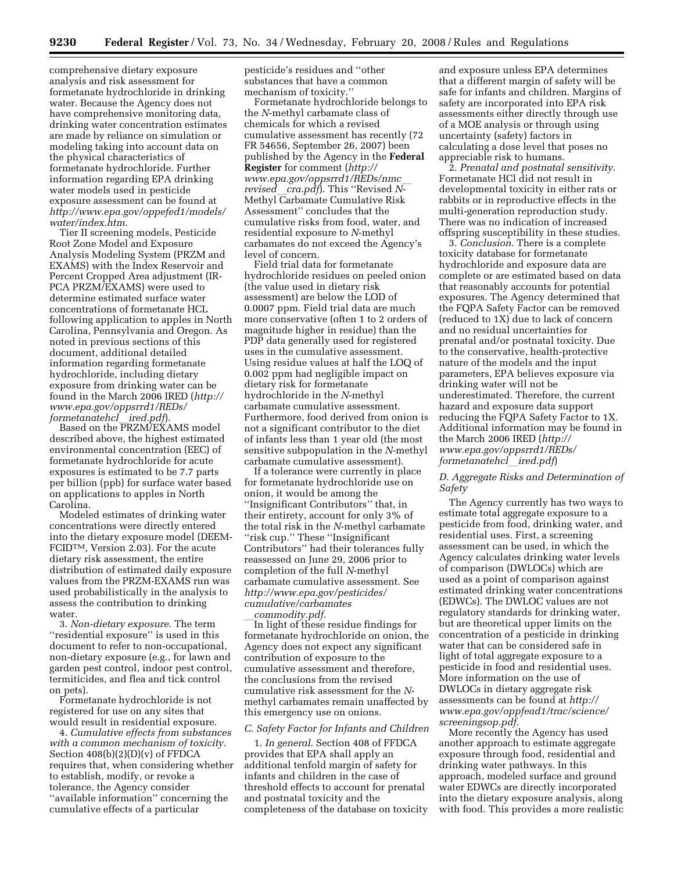comprehensive dietary exposure analysis and risk assessment for formetanate hydrochloride in drinking water. Because the Agency does not have comprehensive monitoring data, drinking water concentration estimates are made by reliance on simulation or modeling taking into account data on the physical characteristics of formetanate hydrochloride. Further information regarding EPA drinking water models used in pesticide exposure assessment can be found at *http://www.epa.gov/oppefed1/models/ water/index.htm*.

Tier II screening models, Pesticide Root Zone Model and Exposure Analysis Modeling System (PRZM and EXAMS) with the Index Reservoir and Percent Cropped Area adjustment (IR-PCA PRZM/EXAMS) were used to determine estimated surface water concentrations of formetanate HCL following application to apples in North Carolina, Pennsylvania and Oregon. As noted in previous sections of this document, additional detailed information regarding formetanate hydrochloride, including dietary exposure from drinking water can be found in the March 2006 IRED (*http:// www.epa.gov/oppsrrd1/REDs/* 

*formetanatehcl*l*ired.pdf*). Based on the PRZM/EXAMS model described above, the highest estimated environmental concentration (EEC) of formetanate hydrochloride for acute exposures is estimated to be 7.7 parts per billion (ppb) for surface water based on applications to apples in North Carolina.

Modeled estimates of drinking water concentrations were directly entered into the dietary exposure model (DEEM-FCIDTM, Version 2.03). For the acute dietary risk assessment, the entire distribution of estimated daily exposure values from the PRZM-EXAMS run was used probabilistically in the analysis to assess the contribution to drinking water.

3. *Non-dietary exposure*. The term ''residential exposure'' is used in this document to refer to non-occupational, non-dietary exposure (e.g., for lawn and garden pest control, indoor pest control, termiticides, and flea and tick control on pets).

Formetanate hydrochloride is not registered for use on any sites that would result in residential exposure.

4. *Cumulative effects from substances with a common mechanism of toxicity*. Section  $408(b)(2)(D)(v)$  of FFDCA requires that, when considering whether to establish, modify, or revoke a tolerance, the Agency consider ''available information'' concerning the cumulative effects of a particular

pesticide's residues and ''other substances that have a common mechanism of toxicity.''

Formetanate hydrochloride belongs to the *N*-methyl carbamate class of chemicals for which a revised cumulative assessment has recently (72 FR 54656, September 26, 2007) been published by the Agency in the **Federal Register** for comment (*http:// www.epa.gov/oppsrrd1/REDs/nmc*l *revised*l*cra.pdf*). This ''Revised *N*-Methyl Carbamate Cumulative Risk Assessment'' concludes that the cumulative risks from food, water, and residential exposure to *N*-methyl carbamates do not exceed the Agency's level of concern.

Field trial data for formetanate hydrochloride residues on peeled onion (the value used in dietary risk assessment) are below the LOD of 0.0007 ppm. Field trial data are much more conservative (often 1 to 2 orders of magnitude higher in residue) than the PDP data generally used for registered uses in the cumulative assessment. Using residue values at half the LOQ of 0.002 ppm had negligible impact on dietary risk for formetanate hydrochloride in the *N*-methyl carbamate cumulative assessment. Furthermore, food derived from onion is not a significant contributor to the diet of infants less than 1 year old (the most sensitive subpopulation in the *N*-methyl carbamate cumulative assessment).

If a tolerance were currently in place for formetanate hydrochloride use on onion, it would be among the ''Insignificant Contributors'' that, in their entirety, account for only 3% of the total risk in the *N*-methyl carbamate ''risk cup.'' These ''Insignificant Contributors'' had their tolerances fully reassessed on June 29, 2006 prior to completion of the full *N*-methyl carbamate cumulative assessment. See *http://www.epa.gov/pesticides/ cumulative/carbamates*

l*commodity.pdf*. In light of these residue findings for formetanate hydrochloride on onion, the Agency does not expect any significant contribution of exposure to the cumulative assessment and therefore, the conclusions from the revised cumulative risk assessment for the *N*methyl carbamates remain unaffected by this emergency use on onions.

#### *C. Safety Factor for Infants and Children*

1. *In general*. Section 408 of FFDCA provides that EPA shall apply an additional tenfold margin of safety for infants and children in the case of threshold effects to account for prenatal and postnatal toxicity and the completeness of the database on toxicity

and exposure unless EPA determines that a different margin of safety will be safe for infants and children. Margins of safety are incorporated into EPA risk assessments either directly through use of a MOE analysis or through using uncertainty (safety) factors in calculating a dose level that poses no appreciable risk to humans.

2. *Prenatal and postnatal sensitivity*. Formetanate HCl did not result in developmental toxicity in either rats or rabbits or in reproductive effects in the multi-generation reproduction study. There was no indication of increased offspring susceptibility in these studies.

3. *Conclusion*. There is a complete toxicity database for formetanate hydrochloride and exposure data are complete or are estimated based on data that reasonably accounts for potential exposures. The Agency determined that the FQPA Safety Factor can be removed (reduced to 1X) due to lack of concern and no residual uncertainties for prenatal and/or postnatal toxicity. Due to the conservative, health-protective nature of the models and the input parameters, EPA believes exposure via drinking water will not be underestimated. Therefore, the current hazard and exposure data support reducing the FQPA Safety Factor to 1X. Additional information may be found in the March 2006 IRED (*http:// www.epa.gov/oppsrrd1/REDs/ formetanatehcl*l*ired.pdf*)

# *D. Aggregate Risks and Determination of Safety*

The Agency currently has two ways to estimate total aggregate exposure to a pesticide from food, drinking water, and residential uses. First, a screening assessment can be used, in which the Agency calculates drinking water levels of comparison (DWLOCs) which are used as a point of comparison against estimated drinking water concentrations (EDWCs). The DWLOC values are not regulatory standards for drinking water, but are theoretical upper limits on the concentration of a pesticide in drinking water that can be considered safe in light of total aggregate exposure to a pesticide in food and residential uses. More information on the use of DWLOCs in dietary aggregate risk assessments can be found at *http:// www.epa.gov/oppfead1/trac/science/ screeningsop.pdf*.

More recently the Agency has used another approach to estimate aggregate exposure through food, residential and drinking water pathways. In this approach, modeled surface and ground water EDWCs are directly incorporated into the dietary exposure analysis, along with food. This provides a more realistic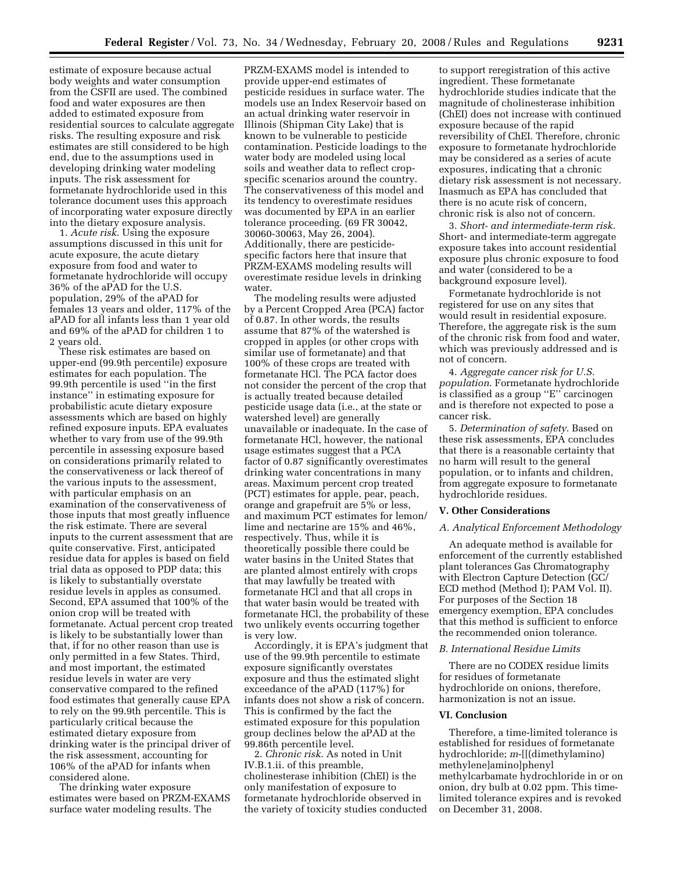estimate of exposure because actual body weights and water consumption from the CSFII are used. The combined food and water exposures are then added to estimated exposure from residential sources to calculate aggregate risks. The resulting exposure and risk estimates are still considered to be high end, due to the assumptions used in developing drinking water modeling inputs. The risk assessment for formetanate hydrochloride used in this tolerance document uses this approach of incorporating water exposure directly into the dietary exposure analysis.

1. *Acute risk*. Using the exposure assumptions discussed in this unit for acute exposure, the acute dietary exposure from food and water to formetanate hydrochloride will occupy 36% of the aPAD for the U.S. population, 29% of the aPAD for females 13 years and older, 117% of the aPAD for all infants less than 1 year old and 69% of the aPAD for children 1 to 2 years old.

These risk estimates are based on upper-end (99.9th percentile) exposure estimates for each population. The 99.9th percentile is used ''in the first instance'' in estimating exposure for probabilistic acute dietary exposure assessments which are based on highly refined exposure inputs. EPA evaluates whether to vary from use of the 99.9th percentile in assessing exposure based on considerations primarily related to the conservativeness or lack thereof of the various inputs to the assessment, with particular emphasis on an examination of the conservativeness of those inputs that most greatly influence the risk estimate. There are several inputs to the current assessment that are quite conservative. First, anticipated residue data for apples is based on field trial data as opposed to PDP data; this is likely to substantially overstate residue levels in apples as consumed. Second, EPA assumed that 100% of the onion crop will be treated with formetanate. Actual percent crop treated is likely to be substantially lower than that, if for no other reason than use is only permitted in a few States. Third, and most important, the estimated residue levels in water are very conservative compared to the refined food estimates that generally cause EPA to rely on the 99.9th percentile. This is particularly critical because the estimated dietary exposure from drinking water is the principal driver of the risk assessment, accounting for 106% of the aPAD for infants when considered alone.

The drinking water exposure estimates were based on PRZM-EXAMS surface water modeling results. The

PRZM-EXAMS model is intended to provide upper-end estimates of pesticide residues in surface water. The models use an Index Reservoir based on an actual drinking water reservoir in Illinois (Shipman City Lake) that is known to be vulnerable to pesticide contamination. Pesticide loadings to the water body are modeled using local soils and weather data to reflect cropspecific scenarios around the country. The conservativeness of this model and its tendency to overestimate residues was documented by EPA in an earlier tolerance proceeding. (69 FR 30042, 30060-30063, May 26, 2004). Additionally, there are pesticidespecific factors here that insure that PRZM-EXAMS modeling results will overestimate residue levels in drinking water.

The modeling results were adjusted by a Percent Cropped Area (PCA) factor of 0.87. In other words, the results assume that 87% of the watershed is cropped in apples (or other crops with similar use of formetanate) and that 100% of these crops are treated with formetanate HCl. The PCA factor does not consider the percent of the crop that is actually treated because detailed pesticide usage data (i.e., at the state or watershed level) are generally unavailable or inadequate. In the case of formetanate HCl, however, the national usage estimates suggest that a PCA factor of 0.87 significantly overestimates drinking water concentrations in many areas. Maximum percent crop treated (PCT) estimates for apple, pear, peach, orange and grapefruit are 5% or less, and maximum PCT estimates for lemon/ lime and nectarine are 15% and 46%, respectively. Thus, while it is theoretically possible there could be water basins in the United States that are planted almost entirely with crops that may lawfully be treated with formetanate HCl and that all crops in that water basin would be treated with formetanate HCl, the probability of these two unlikely events occurring together is very low.

Accordingly, it is EPA's judgment that use of the 99.9th percentile to estimate exposure significantly overstates exposure and thus the estimated slight exceedance of the aPAD (117%) for infants does not show a risk of concern. This is confirmed by the fact the estimated exposure for this population group declines below the aPAD at the 99.86th percentile level.

2. *Chronic risk*. As noted in Unit IV.B.1.ii. of this preamble, cholinesterase inhibition (ChEI) is the only manifestation of exposure to formetanate hydrochloride observed in the variety of toxicity studies conducted

to support reregistration of this active ingredient. These formetanate hydrochloride studies indicate that the magnitude of cholinesterase inhibition (ChEI) does not increase with continued exposure because of the rapid reversibility of ChEI. Therefore, chronic exposure to formetanate hydrochloride may be considered as a series of acute exposures, indicating that a chronic dietary risk assessment is not necessary. Inasmuch as EPA has concluded that there is no acute risk of concern, chronic risk is also not of concern.

3. *Short- and intermediate-term risk.*  Short- and intermediate-term aggregate exposure takes into account residential exposure plus chronic exposure to food and water (considered to be a background exposure level).

Formetanate hydrochloride is not registered for use on any sites that would result in residential exposure. Therefore, the aggregate risk is the sum of the chronic risk from food and water, which was previously addressed and is not of concern.

4. *Aggregate cancer risk for U.S. population*. Formetanate hydrochloride is classified as a group ''E'' carcinogen and is therefore not expected to pose a cancer risk.

5. *Determination of safety*. Based on these risk assessments, EPA concludes that there is a reasonable certainty that no harm will result to the general population, or to infants and children, from aggregate exposure to formetanate hydrochloride residues.

### **V. Other Considerations**

### *A. Analytical Enforcement Methodology*

An adequate method is available for enforcement of the currently established plant tolerances Gas Chromatography with Electron Capture Detection (GC/ ECD method (Method I); PAM Vol. II). For purposes of the Section 18 emergency exemption, EPA concludes that this method is sufficient to enforce the recommended onion tolerance.

### *B. International Residue Limits*

There are no CODEX residue limits for residues of formetanate hydrochloride on onions, therefore, harmonization is not an issue.

### **VI. Conclusion**

Therefore, a time-limited tolerance is established for residues of formetanate hydrochloride; *m*-[[(dimethylamino) methylene]amino]phenyl methylcarbamate hydrochloride in or on onion, dry bulb at 0.02 ppm. This timelimited tolerance expires and is revoked on December 31, 2008.